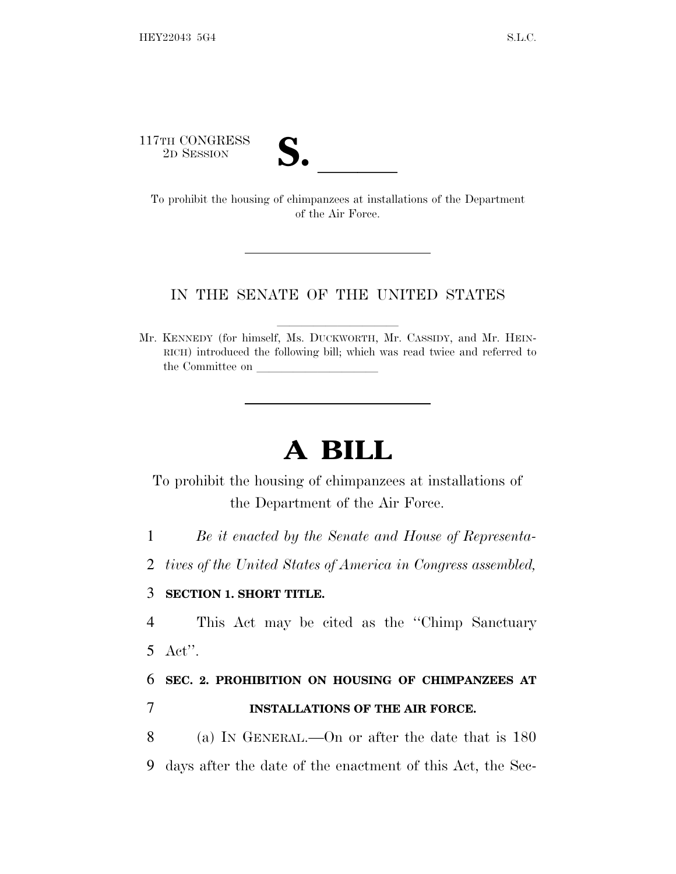117TH CONGRESS



TTH CONGRESS<br>
2D SESSION<br>
To prohibit the housing of chimpanzees at installations of the Department of the Air Force.

## IN THE SENATE OF THE UNITED STATES

Mr. KENNEDY (for himself, Ms. DUCKWORTH, Mr. CASSIDY, and Mr. HEIN-RICH) introduced the following bill; which was read twice and referred to the Committee on

## **A BILL**

To prohibit the housing of chimpanzees at installations of the Department of the Air Force.

1 *Be it enacted by the Senate and House of Representa-*

2 *tives of the United States of America in Congress assembled,*

## 3 **SECTION 1. SHORT TITLE.**

4 This Act may be cited as the ''Chimp Sanctuary 5 Act''.

6 **SEC. 2. PROHIBITION ON HOUSING OF CHIMPANZEES AT**

7 **INSTALLATIONS OF THE AIR FORCE.**

8 (a) I<sup>N</sup> GENERAL.—On or after the date that is 180 9 days after the date of the enactment of this Act, the Sec